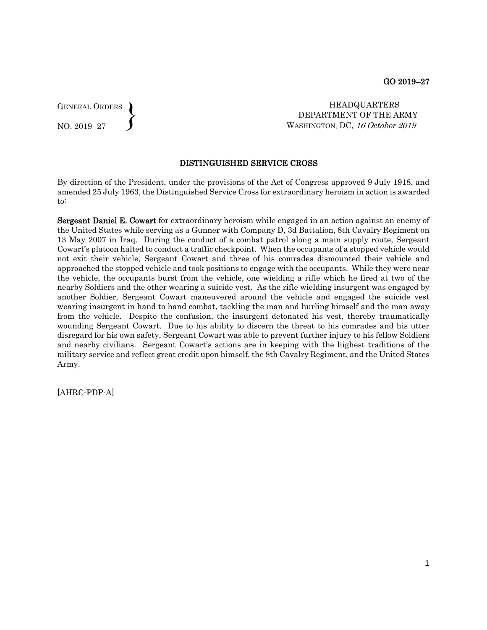GENERAL ORDERS NO. 2019–27  $\left\{ \right\}$ 

 HEADQUARTERS DEPARTMENT OF THE ARMY WASHINGTON, DC, 16 October 2019

## DISTINGUISHED SERVICE CROSS

By direction of the President, under the provisions of the Act of Congress approved 9 July 1918, and amended 25 July 1963, the Distinguished Service Cross for extraordinary heroism in action is awarded to:

Sergeant Daniel E. Cowart for extraordinary heroism while engaged in an action against an enemy of the United States while serving as a Gunner with Company D, 3d Battalion, 8th Cavalry Regiment on 13 May 2007 in Iraq. During the conduct of a combat patrol along a main supply route, Sergeant Cowart's platoon halted to conduct a traffic checkpoint. When the occupants of a stopped vehicle would not exit their vehicle, Sergeant Cowart and three of his comrades dismounted their vehicle and approached the stopped vehicle and took positions to engage with the occupants. While they were near the vehicle, the occupants burst from the vehicle, one wielding a rifle which he fired at two of the nearby Soldiers and the other wearing a suicide vest. As the rifle wielding insurgent was engaged by another Soldier, Sergeant Cowart maneuvered around the vehicle and engaged the suicide vest wearing insurgent in hand to hand combat, tackling the man and hurling himself and the man away from the vehicle. Despite the confusion, the insurgent detonated his vest, thereby traumatically wounding Sergeant Cowart. Due to his ability to discern the threat to his comrades and his utter disregard for his own safety, Sergeant Cowart was able to prevent further injury to his fellow Soldiers and nearby civilians. Sergeant Cowart's actions are in keeping with the highest traditions of the military service and reflect great credit upon himself, the 8th Cavalry Regiment, and the United States Army.

[AHRC-PDP-A]